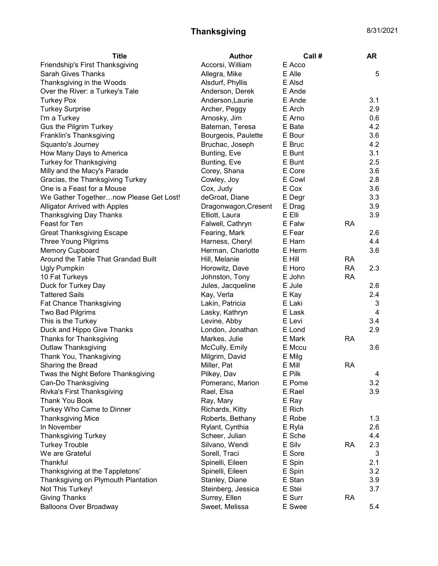## Thanksgiving 8/31/2021

| <b>Title</b>                           | <b>Author</b>        | Call # |           | <b>AR</b>               |
|----------------------------------------|----------------------|--------|-----------|-------------------------|
| Friendship's First Thanksgiving        | Accorsi, William     | E Acco |           |                         |
| <b>Sarah Gives Thanks</b>              | Allegra, Mike        | E Alle |           | 5                       |
| Thanksgiving in the Woods              | Alsdurf, Phyllis     | E Alsd |           |                         |
| Over the River: a Turkey's Tale        | Anderson, Derek      | E Ande |           |                         |
| <b>Turkey Pox</b>                      | Anderson, Laurie     | E Ande |           | 3.1                     |
| <b>Turkey Surprise</b>                 | Archer, Peggy        | E Arch |           | 2.9                     |
| I'm a Turkey                           | Arnosky, Jim         | E Arno |           | 0.6                     |
| Gus the Pilgrim Turkey                 | Bateman, Teresa      | E Bate |           | 4.2                     |
| Franklin's Thanksgiving                | Bourgeois, Paulette  | E Bour |           | 3.6                     |
| Squanto's Journey                      | Bruchac, Joseph      | E Bruc |           | 4.2                     |
| How Many Days to America               | Bunting, Eve         | E Bunt |           | 3.1                     |
| <b>Turkey for Thanksgiving</b>         | Bunting, Eve         | E Bunt |           | 2.5                     |
| Milly and the Macy's Parade            | Corey, Shana         | E Core |           | 3.6                     |
| Gracias, the Thanksgiving Turkey       | Cowley, Joy          | E Cowl |           | 2.8                     |
| One is a Feast for a Mouse             | Cox, Judy            | E Cox  |           | 3.6                     |
| We Gather Togethernow Please Get Lost! | deGroat, Diane       | E Degr |           | 3.3                     |
| <b>Alligator Arrived with Apples</b>   | Dragonwagon, Cresent | E Drag |           | 3.9                     |
| <b>Thanksgiving Day Thanks</b>         | Elliott, Laura       | E Elli |           | 3.9                     |
| Feast for Ten                          | Falwell, Cathryn     | E Falw | <b>RA</b> |                         |
| <b>Great Thanksgiving Escape</b>       | Fearing, Mark        | E Fear |           | 2.6                     |
| <b>Three Young Pilgrims</b>            | Harness, Cheryl      | E Harn |           | 4.4                     |
| <b>Memory Cupboard</b>                 | Herman, Charlotte    | E Herm |           | 3.6                     |
| Around the Table That Grandad Built    |                      | E Hill | <b>RA</b> |                         |
|                                        | Hill, Melanie        |        |           | 2.3                     |
| <b>Ugly Pumpkin</b>                    | Horowitz, Dave       | E Horo | <b>RA</b> |                         |
| 10 Fat Turkeys                         | Johnston, Tony       | E John | <b>RA</b> |                         |
| Duck for Turkey Day                    | Jules, Jacqueline    | E Jule |           | 2.6                     |
| <b>Tattered Sails</b>                  | Kay, Verla           | E Kay  |           | 2.4                     |
| Fat Chance Thanksgiving                | Lakin, Patricia      | E Laki |           | 3                       |
| Two Bad Pilgrims                       | Lasky, Kathryn       | E Lask |           | $\overline{\mathbf{4}}$ |
| This is the Turkey                     | Levine, Abby         | E Levi |           | 3.4                     |
| Duck and Hippo Give Thanks             | London, Jonathan     | E Lond |           | 2.9                     |
| Thanks for Thanksgiving                | Markes, Julie        | E Mark | <b>RA</b> |                         |
| Outlaw Thanksgiving                    | McCully, Emily       | E Mccu |           | 3.6                     |
| Thank You, Thanksgiving                | Milgrim, David       | E Milg |           |                         |
| Sharing the Bread                      | Miller, Pat          | E Mill | <b>RA</b> |                         |
| Twas the Night Before Thanksgiving     | Pilkey, Dav          | E Pilk |           | 4                       |
| Can-Do Thanksgiving                    | Pomeranc, Marion     | E Pome |           | 3.2                     |
| Rivka's First Thanksgiving             | Rael, Elsa           | E Rael |           | 3.9                     |
| Thank You Book                         | Ray, Mary            | E Ray  |           |                         |
| Turkey Who Came to Dinner              | Richards, Kitty      | E Rich |           |                         |
| <b>Thanksgiving Mice</b>               | Roberts, Bethany     | E Robe |           | 1.3                     |
| In November                            | Rylant, Cynthia      | E Ryla |           | 2.6                     |
| <b>Thanksgiving Turkey</b>             | Scheer, Julian       | E Sche |           | 4.4                     |
| <b>Turkey Trouble</b>                  | Silvano, Wendi       | E Silv | <b>RA</b> | 2.3                     |
| We are Grateful                        | Sorell, Traci        | E Sore |           | 3                       |
| Thankful                               | Spinelli, Eileen     | E Spin |           | 2.1                     |
| Thanksgiving at the Tappletons'        | Spinelli, Eileen     | E Spin |           | 3.2                     |
| Thanksgiving on Plymouth Plantation    | Stanley, Diane       | E Stan |           | 3.9                     |
| Not This Turkey!                       | Steinberg, Jessica   | E Stei |           | 3.7                     |
| <b>Giving Thanks</b>                   | Surrey, Ellen        | E Surr | <b>RA</b> |                         |
| <b>Balloons Over Broadway</b>          | Sweet, Melissa       | E Swee |           | 5.4                     |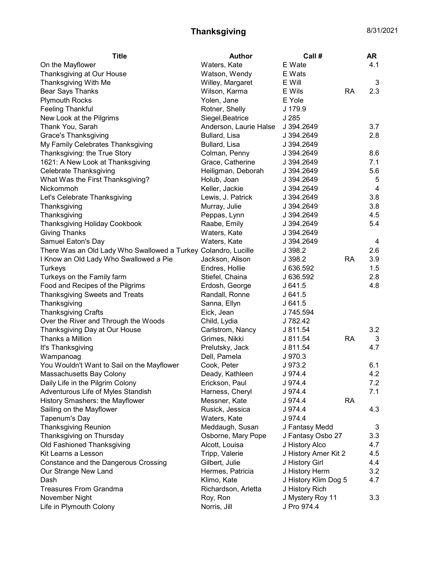## Thanksgiving 8/31/2021

| <b>Title</b>                                                   | Author                 | Call #               |           | <b>AR</b>      |
|----------------------------------------------------------------|------------------------|----------------------|-----------|----------------|
| On the Mayflower                                               | Waters, Kate           | E Wate               |           | 4.1            |
| Thanksgiving at Our House                                      | Watson, Wendy          | E Wats               |           |                |
| Thanksgiving With Me                                           | Willey, Margaret       | E Will               |           | 3              |
| <b>Bear Says Thanks</b>                                        | Wilson, Karma          | E Wils               | RA        | 2.3            |
| <b>Plymouth Rocks</b>                                          | Yolen, Jane            | E Yole               |           |                |
| <b>Feeling Thankful</b>                                        | Rotner, Shelly         | J 179.9              |           |                |
| New Look at the Pilgrims                                       | Siegel, Beatrice       | J 285                |           |                |
| Thank You, Sarah                                               | Anderson, Laurie Halse | J 394.2649           |           | 3.7            |
| <b>Grace's Thanksgiving</b>                                    | Bullard, Lisa          | J 394.2649           |           | 2.8            |
| My Family Celebrates Thanksgiving                              | Bullard, Lisa          | J 394.2649           |           |                |
| Thanksgiving: the True Story                                   | Colman, Penny          | J 394.2649           |           | 8.6            |
| 1621: A New Look at Thanksgiving                               | Grace, Catherine       | J 394.2649           |           | 7.1            |
| Celebrate Thanksgiving                                         | Heiligman, Deborah     | J 394.2649           |           | 5.6            |
| What Was the First Thanksgiving?                               | Holub, Joan            | J 394.2649           |           | 5              |
| <b>Nickommoh</b>                                               | Keller, Jackie         | J 394.2649           |           | $\overline{4}$ |
| Let's Celebrate Thanksgiving                                   | Lewis, J. Patrick      | J 394.2649           |           | 3.8            |
| Thanksgiving                                                   | Murray, Julie          | J 394.2649           |           | 3.8            |
| Thanksgiving                                                   | Peppas, Lynn           | J 394.2649           |           | 4.5            |
| <b>Thanksgiving Holiday Cookbook</b>                           | Raabe, Emily           | J 394.2649           |           | 5.4            |
| <b>Giving Thanks</b>                                           | Waters, Kate           | J 394.2649           |           |                |
| Samuel Eaton's Day                                             | Waters, Kate           | J 394.2649           |           | 4              |
| There Was an Old Lady Who Swallowed a Turkey Colandro, Lucille |                        | J 398.2              |           | 2.6            |
| I Know an Old Lady Who Swallowed a Pie                         | Jackson, Alison        | J 398.2              | <b>RA</b> | 3.9            |
| Turkeys                                                        | Endres, Hollie         | J 636.592            |           | 1.5            |
| Turkeys on the Family farm                                     | Stiefel, Chaina        | J 636.592            |           | 2.8            |
| Food and Recipes of the Pilgrims                               | Erdosh, George         | J641.5               |           | 4.8            |
| <b>Thanksgiving Sweets and Treats</b>                          | Randall, Ronne         | J641.5               |           |                |
| Thanksgiving                                                   | Sanna, Ellyn           | J641.5               |           |                |
| <b>Thanksgiving Crafts</b>                                     | Eick, Jean             | J 745.594            |           |                |
| Over the River and Through the Woods                           | Child, Lydia           | J 782.42             |           |                |
| Thanksgiving Day at Our House                                  | Carlstrom, Nancy       | J 811.54             |           | 3.2            |
| Thanks a Million                                               | Grimes, Nikki          | J 811.54             | <b>RA</b> | 3              |
| It's Thanksgiving                                              | Prelutsky, Jack        | J 811.54             |           | 4.7            |
| Wampanoag                                                      | Dell, Pamela           | J 970.3              |           |                |
| You Wouldn't Want to Sail on the Mayflower                     | Cook, Peter            | J 973.2              |           | 6.1            |
| Massachusetts Bay Colony                                       | Deady, Kathleen        | J 974.4              |           | 4.2            |
| Daily Life in the Pilgrim Colony                               | Erickson, Paul         | J 974.4              |           | 7.2            |
| Adventurous Life of Myles Standish                             | Harness, Cheryl        | J 974.4              |           | 7.1            |
| History Smashers: the Mayflower                                | Messner, Kate          | J 974.4              | <b>RA</b> |                |
| Sailing on the Mayflower                                       | Rusick, Jessica        | J 974.4              |           | 4.3            |
| Tapenum's Day                                                  | Waters, Kate           | J 974.4              |           |                |
| <b>Thanksgiving Reunion</b>                                    | Meddaugh, Susan        |                      |           | 3              |
| Thanksgiving on Thursday                                       |                        | J Fantasy Medd       |           |                |
|                                                                | Osborne, Mary Pope     | J Fantasy Osbo 27    |           | 3.3            |
| Old Fashioned Thanksgiving<br>Kit Learns a Lesson              | Alcott, Louisa         | J History Alco       |           | 4.7            |
|                                                                | Tripp, Valerie         | J History Amer Kit 2 |           | 4.5            |
| Constance and the Dangerous Crossing                           | Gilbert, Julie         | J History Girl       |           | 4.4            |
| Our Strange New Land                                           | Hermes, Patricia       | J History Herm       |           | 3.2            |
| Dash                                                           | Klimo, Kate            | J History Klim Dog 5 |           | 4.7            |
| <b>Treasures From Grandma</b>                                  | Richardson, Arletta    | J History Rich       |           |                |
| November Night                                                 | Roy, Ron               | J Mystery Roy 11     |           | 3.3            |
| Life in Plymouth Colony                                        | Norris, Jill           | J Pro 974.4          |           |                |